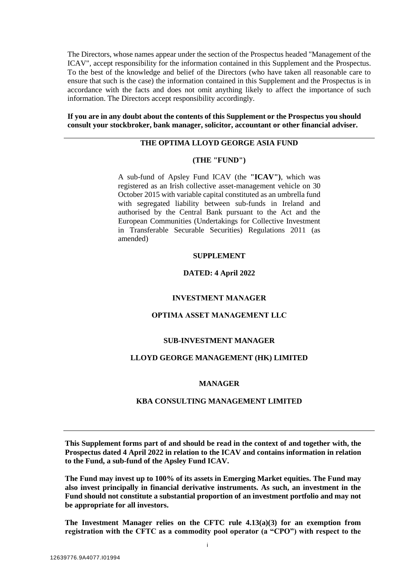The Directors, whose names appear under the section of the Prospectus headed "Management of the ICAV", accept responsibility for the information contained in this Supplement and the Prospectus. To the best of the knowledge and belief of the Directors (who have taken all reasonable care to ensure that such is the case) the information contained in this Supplement and the Prospectus is in accordance with the facts and does not omit anything likely to affect the importance of such information. The Directors accept responsibility accordingly.

**If you are in any doubt about the contents of this Supplement or the Prospectus you should consult your stockbroker, bank manager, solicitor, accountant or other financial adviser.**

# **THE OPTIMA LLOYD GEORGE ASIA FUND**

#### **(THE "FUND")**

A sub-fund of Apsley Fund ICAV (the **"ICAV")**, which was registered as an Irish collective asset-management vehicle on 30 October 2015 with variable capital constituted as an umbrella fund with segregated liability between sub-funds in Ireland and authorised by the Central Bank pursuant to the Act and the European Communities (Undertakings for Collective Investment in Transferable Securable Securities) Regulations 2011 (as amended)

#### **SUPPLEMENT**

#### **DATED: 4 April 2022**

#### **INVESTMENT MANAGER**

### **OPTIMA ASSET MANAGEMENT LLC**

#### **SUB-INVESTMENT MANAGER**

#### **LLOYD GEORGE MANAGEMENT (HK) LIMITED**

#### **MANAGER**

#### **KBA CONSULTING MANAGEMENT LIMITED**

**This Supplement forms part of and should be read in the context of and together with, the Prospectus dated 4 April 2022 in relation to the ICAV and contains information in relation to the Fund, a sub-fund of the Apsley Fund ICAV.** 

**The Fund may invest up to 100% of its assets in Emerging Market equities. The Fund may also invest principally in financial derivative instruments. As such, an investment in the Fund should not constitute a substantial proportion of an investment portfolio and may not be appropriate for all investors.**

**The Investment Manager relies on the CFTC rule 4.13(a)(3) for an exemption from registration with the CFTC as a commodity pool operator (a "CPO") with respect to the**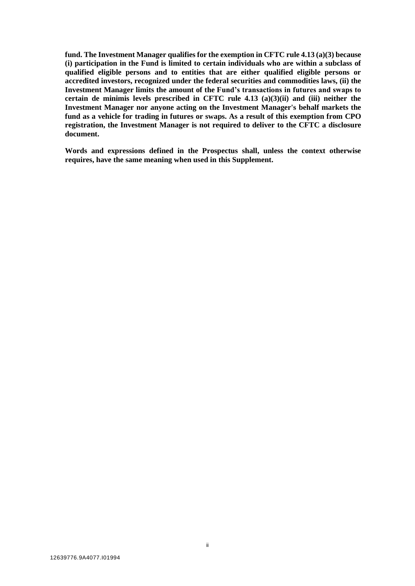**fund. The Investment Manager qualifies for the exemption in CFTC rule 4.13 (a)(3) because (i) participation in the Fund is limited to certain individuals who are within a subclass of qualified eligible persons and to entities that are either qualified eligible persons or accredited investors, recognized under the federal securities and commodities laws, (ii) the Investment Manager limits the amount of the Fund's transactions in futures and swaps to certain de minimis levels prescribed in CFTC rule 4.13 (a)(3)(ii) and (iii) neither the Investment Manager nor anyone acting on the Investment Manager's behalf markets the fund as a vehicle for trading in futures or swaps. As a result of this exemption from CPO registration, the Investment Manager is not required to deliver to the CFTC a disclosure document.**

**Words and expressions defined in the Prospectus shall, unless the context otherwise requires, have the same meaning when used in this Supplement.**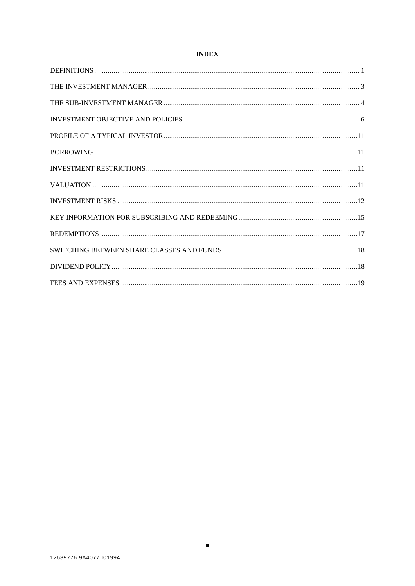# **INDEX**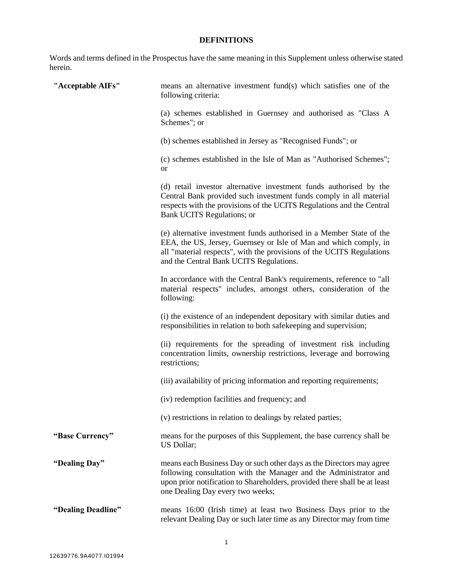# **DEFINITIONS**

Words and terms defined in the Prospectus have the same meaning in this Supplement unless otherwise stated herein.

<span id="page-3-0"></span>

| "Acceptable AIFs"  | means an alternative investment fund(s) which satisfies one of the<br>following criteria:                                                                                                                                                                     |
|--------------------|---------------------------------------------------------------------------------------------------------------------------------------------------------------------------------------------------------------------------------------------------------------|
|                    | (a) schemes established in Guernsey and authorised as "Class A<br>Schemes"; or                                                                                                                                                                                |
|                    | (b) schemes established in Jersey as "Recognised Funds"; or                                                                                                                                                                                                   |
|                    | (c) schemes established in the Isle of Man as "Authorised Schemes";<br><sub>or</sub>                                                                                                                                                                          |
|                    | (d) retail investor alternative investment funds authorised by the<br>Central Bank provided such investment funds comply in all material<br>respects with the provisions of the UCITS Regulations and the Central<br>Bank UCITS Regulations; or               |
|                    | (e) alternative investment funds authorised in a Member State of the<br>EEA, the US, Jersey, Guernsey or Isle of Man and which comply, in<br>all "material respects", with the provisions of the UCITS Regulations<br>and the Central Bank UCITS Regulations. |
|                    | In accordance with the Central Bank's requirements, reference to "all<br>material respects" includes, amongst others, consideration of the<br>following:                                                                                                      |
|                    | (i) the existence of an independent depositary with similar duties and<br>responsibilities in relation to both safekeeping and supervision;                                                                                                                   |
|                    | (ii) requirements for the spreading of investment risk including<br>concentration limits, ownership restrictions, leverage and borrowing<br>restrictions;                                                                                                     |
|                    | (iii) availability of pricing information and reporting requirements;                                                                                                                                                                                         |
|                    | (iv) redemption facilities and frequency; and                                                                                                                                                                                                                 |
|                    | (v) restrictions in relation to dealings by related parties;                                                                                                                                                                                                  |
| "Base Currency"    | means for the purposes of this Supplement, the base currency shall be<br>US Dollar;                                                                                                                                                                           |
| "Dealing Day"      | means each Business Day or such other days as the Directors may agree<br>following consultation with the Manager and the Administrator and<br>upon prior notification to Shareholders, provided there shall be at least<br>one Dealing Day every two weeks;   |
| "Dealing Deadline" | means 16:00 (Irish time) at least two Business Days prior to the<br>relevant Dealing Day or such later time as any Director may from time                                                                                                                     |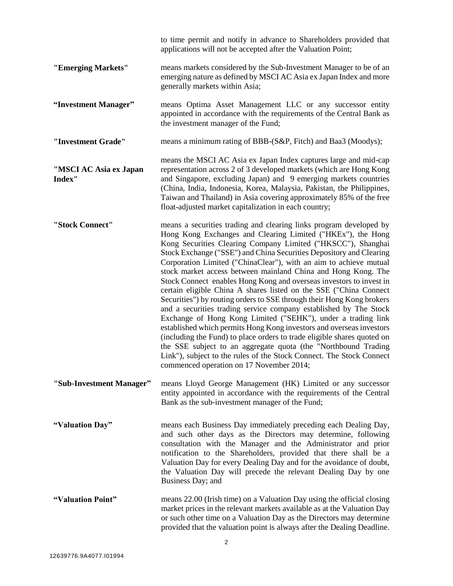|                                  | to time permit and notify in advance to Shareholders provided that<br>applications will not be accepted after the Valuation Point;                                                                                                                                                                                                                                                                                                                                                                                                                                                                                                                                                                                                                                                                                                                                                                                                                                                                                                                                                                                 |
|----------------------------------|--------------------------------------------------------------------------------------------------------------------------------------------------------------------------------------------------------------------------------------------------------------------------------------------------------------------------------------------------------------------------------------------------------------------------------------------------------------------------------------------------------------------------------------------------------------------------------------------------------------------------------------------------------------------------------------------------------------------------------------------------------------------------------------------------------------------------------------------------------------------------------------------------------------------------------------------------------------------------------------------------------------------------------------------------------------------------------------------------------------------|
| "Emerging Markets"               | means markets considered by the Sub-Investment Manager to be of an<br>emerging nature as defined by MSCI AC Asia ex Japan Index and more<br>generally markets within Asia;                                                                                                                                                                                                                                                                                                                                                                                                                                                                                                                                                                                                                                                                                                                                                                                                                                                                                                                                         |
| "Investment Manager"             | means Optima Asset Management LLC or any successor entity<br>appointed in accordance with the requirements of the Central Bank as<br>the investment manager of the Fund;                                                                                                                                                                                                                                                                                                                                                                                                                                                                                                                                                                                                                                                                                                                                                                                                                                                                                                                                           |
| "Investment Grade"               | means a minimum rating of BBB-(S&P, Fitch) and Baa3 (Moodys);                                                                                                                                                                                                                                                                                                                                                                                                                                                                                                                                                                                                                                                                                                                                                                                                                                                                                                                                                                                                                                                      |
| "MSCI AC Asia ex Japan<br>Index" | means the MSCI AC Asia ex Japan Index captures large and mid-cap<br>representation across 2 of 3 developed markets (which are Hong Kong<br>and Singapore, excluding Japan) and 9 emerging markets countries<br>(China, India, Indonesia, Korea, Malaysia, Pakistan, the Philippines,<br>Taiwan and Thailand) in Asia covering approximately 85% of the free<br>float-adjusted market capitalization in each country;                                                                                                                                                                                                                                                                                                                                                                                                                                                                                                                                                                                                                                                                                               |
| "Stock Connect"                  | means a securities trading and clearing links program developed by<br>Hong Kong Exchanges and Clearing Limited ("HKEx"), the Hong<br>Kong Securities Clearing Company Limited ("HKSCC"), Shanghai<br>Stock Exchange ("SSE") and China Securities Depository and Clearing<br>Corporation Limited ("ChinaClear"), with an aim to achieve mutual<br>stock market access between mainland China and Hong Kong. The<br>Stock Connect enables Hong Kong and overseas investors to invest in<br>certain eligible China A shares listed on the SSE ("China Connect"<br>Securities") by routing orders to SSE through their Hong Kong brokers<br>and a securities trading service company established by The Stock<br>Exchange of Hong Kong Limited ("SEHK"), under a trading link<br>established which permits Hong Kong investors and overseas investors<br>(including the Fund) to place orders to trade eligible shares quoted on<br>the SSE subject to an aggregate quota (the "Northbound Trading<br>Link"), subject to the rules of the Stock Connect. The Stock Connect<br>commenced operation on 17 November 2014; |
| "Sub-Investment Manager"         | means Lloyd George Management (HK) Limited or any successor<br>entity appointed in accordance with the requirements of the Central<br>Bank as the sub-investment manager of the Fund;                                                                                                                                                                                                                                                                                                                                                                                                                                                                                                                                                                                                                                                                                                                                                                                                                                                                                                                              |
| "Valuation Day"                  | means each Business Day immediately preceding each Dealing Day,<br>and such other days as the Directors may determine, following<br>consultation with the Manager and the Administrator and prior<br>notification to the Shareholders, provided that there shall be a<br>Valuation Day for every Dealing Day and for the avoidance of doubt,<br>the Valuation Day will precede the relevant Dealing Day by one<br>Business Day; and                                                                                                                                                                                                                                                                                                                                                                                                                                                                                                                                                                                                                                                                                |
| "Valuation Point"                | means 22.00 (Irish time) on a Valuation Day using the official closing<br>market prices in the relevant markets available as at the Valuation Day<br>or such other time on a Valuation Day as the Directors may determine<br>provided that the valuation point is always after the Dealing Deadline.                                                                                                                                                                                                                                                                                                                                                                                                                                                                                                                                                                                                                                                                                                                                                                                                               |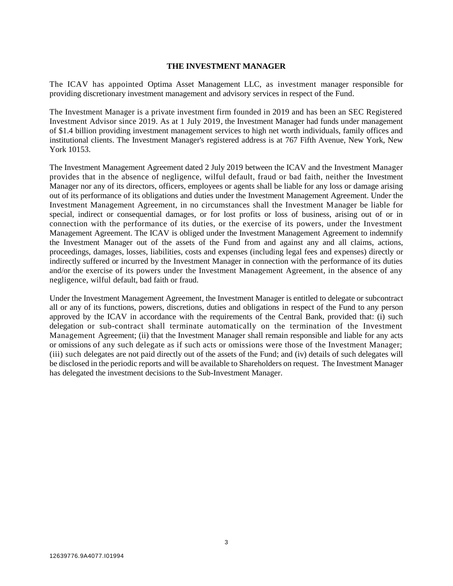#### **THE INVESTMENT MANAGER**

The ICAV has appointed Optima Asset Management LLC, as investment manager responsible for providing discretionary investment management and advisory services in respect of the Fund.

<span id="page-5-0"></span>The Investment Manager is a private investment firm founded in 2019 and has been an SEC Registered Investment Advisor since 2019. As at 1 July 2019, the Investment Manager had funds under management of \$1.4 billion providing investment management services to high net worth individuals, family offices and institutional clients. The Investment Manager's registered address is at 767 Fifth Avenue, New York, New York 10153.

The Investment Management Agreement dated 2 July 2019 between the ICAV and the Investment Manager provides that in the absence of negligence, wilful default, fraud or bad faith, neither the Investment Manager nor any of its directors, officers, employees or agents shall be liable for any loss or damage arising out of its performance of its obligations and duties under the Investment Management Agreement. Under the Investment Management Agreement, in no circumstances shall the Investment Manager be liable for special, indirect or consequential damages, or for lost profits or loss of business, arising out of or in connection with the performance of its duties, or the exercise of its powers, under the Investment Management Agreement. The ICAV is obliged under the Investment Management Agreement to indemnify the Investment Manager out of the assets of the Fund from and against any and all claims, actions, proceedings, damages, losses, liabilities, costs and expenses (including legal fees and expenses) directly or indirectly suffered or incurred by the Investment Manager in connection with the performance of its duties and/or the exercise of its powers under the Investment Management Agreement, in the absence of any negligence, wilful default, bad faith or fraud.

Under the Investment Management Agreement, the Investment Manager is entitled to delegate or subcontract all or any of its functions, powers, discretions, duties and obligations in respect of the Fund to any person approved by the ICAV in accordance with the requirements of the Central Bank, provided that: (i) such delegation or sub-contract shall terminate automatically on the termination of the Investment Management Agreement; (ii) that the Investment Manager shall remain responsible and liable for any acts or omissions of any such delegate as if such acts or omissions were those of the Investment Manager; (iii) such delegates are not paid directly out of the assets of the Fund; and (iv) details of such delegates will be disclosed in the periodic reports and will be available to Shareholders on request. The Investment Manager has delegated the investment decisions to the Sub-Investment Manager.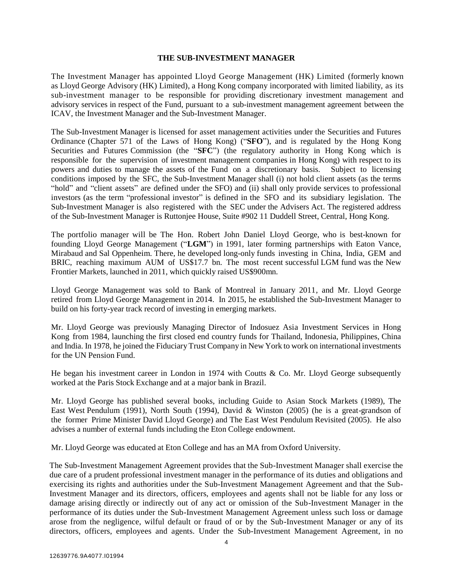#### **THE SUB-INVESTMENT MANAGER**

<span id="page-6-0"></span>The Investment Manager has appointed Lloyd George Management (HK) Limited (formerly known as Lloyd George Advisory (HK) Limited), a Hong Kong company incorporated with limited liability, as its sub-investment manager to be responsible for providing discretionary investment management and advisory services in respect of the Fund, pursuant to a sub-investment management agreement between the ICAV, the Investment Manager and the Sub-Investment Manager.

The Sub-Investment Manager is licensed for asset management activities under the Securities and Futures Ordinance (Chapter 571 of the Laws of Hong Kong) ("**SFO**"), and is regulated by the Hong Kong Securities and Futures Commission (the "**SFC**") (the regulatory authority in Hong Kong which is responsible for the supervision of investment management companies in Hong Kong) with respect to its powers and duties to manage the assets of the Fund on a discretionary basis. Subject to licensing conditions imposed by the SFC, the Sub-Investment Manager shall (i) not hold client assets (as the terms "hold" and "client assets" are defined under the SFO) and (ii) shall only provide services to professional investors (as the term "professional investor" is defined in the SFO and its subsidiary legislation. The Sub-Investment Manager is also registered with the SEC under the Advisers Act. The registered address of the Sub-Investment Manager is Ruttonjee House, Suite #902 11 Duddell Street, Central, Hong Kong.

The portfolio manager will be The Hon. Robert John Daniel Lloyd George, who is best-known for founding Lloyd George Management ("**LGM**") in 1991, later forming partnerships with Eaton Vance, Mirabaud and Sal Oppenheim. There, he developed long-only funds investing in China, India, GEM and BRIC, reaching maximum AUM of US\$17.7 bn. The most recent successful LGM fund was the New Frontier Markets, launched in 2011, which quickly raised US\$900mn.

Lloyd George Management was sold to Bank of Montreal in January 2011, and Mr. Lloyd George retired from Lloyd George Management in 2014. In 2015, he established the Sub-Investment Manager to build on his forty-year track record of investing in emerging markets.

Mr. Lloyd George was previously Managing Director of Indosuez Asia Investment Services in Hong Kong from 1984, launching the first closed end country funds for Thailand, Indonesia, Philippines, China and India. In 1978, he joined the FiduciaryTrust Company in New York to work on international investments for the UN Pension Fund.

He began his investment career in London in 1974 with Coutts & Co. Mr. Lloyd George subsequently worked at the Paris Stock Exchange and at a major bank in Brazil.

Mr. Lloyd George has published several books, including Guide to Asian Stock Markets (1989), The East West Pendulum (1991), North South (1994), David & Winston (2005) (he is a great-grandson of the former Prime Minister David Lloyd George) and The East West Pendulum Revisited (2005). He also advises a number of external funds including the Eton College endowment.

Mr. Lloyd George was educated at Eton College and has an MA from Oxford University.

The Sub-Investment Management Agreement provides that the Sub-Investment Manager shall exercise the due care of a prudent professional investment manager in the performance of its duties and obligations and exercising its rights and authorities under the Sub-Investment Management Agreement and that the Sub-Investment Manager and its directors, officers, employees and agents shall not be liable for any loss or damage arising directly or indirectly out of any act or omission of the Sub-Investment Manager in the performance of its duties under the Sub-Investment Management Agreement unless such loss or damage arose from the negligence, wilful default or fraud of or by the Sub-Investment Manager or any of its directors, officers, employees and agents. Under the Sub-Investment Management Agreement, in no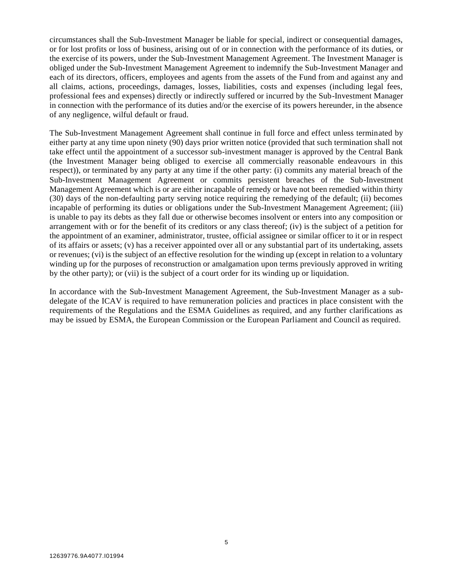circumstances shall the Sub-Investment Manager be liable for special, indirect or consequential damages, or for lost profits or loss of business, arising out of or in connection with the performance of its duties, or the exercise of its powers, under the Sub-Investment Management Agreement. The Investment Manager is obliged under the Sub-Investment Management Agreement to indemnify the Sub-Investment Manager and each of its directors, officers, employees and agents from the assets of the Fund from and against any and all claims, actions, proceedings, damages, losses, liabilities, costs and expenses (including legal fees, professional fees and expenses) directly or indirectly suffered or incurred by the Sub-Investment Manager in connection with the performance of its duties and/or the exercise of its powers hereunder, in the absence of any negligence, wilful default or fraud.

The Sub-Investment Management Agreement shall continue in full force and effect unless terminated by either party at any time upon ninety (90) days prior written notice (provided that such termination shall not take effect until the appointment of a successor sub-investment manager is approved by the Central Bank (the Investment Manager being obliged to exercise all commercially reasonable endeavours in this respect)), or terminated by any party at any time if the other party: (i) commits any material breach of the Sub-Investment Management Agreement or commits persistent breaches of the Sub-Investment Management Agreement which is or are either incapable of remedy or have not been remedied within thirty (30) days of the non-defaulting party serving notice requiring the remedying of the default; (ii) becomes incapable of performing its duties or obligations under the Sub-Investment Management Agreement; (iii) is unable to pay its debts as they fall due or otherwise becomes insolvent or enters into any composition or arrangement with or for the benefit of its creditors or any class thereof; (iv) is the subject of a petition for the appointment of an examiner, administrator, trustee, official assignee or similar officer to it or in respect of its affairs or assets; (v) has a receiver appointed over all or any substantial part of its undertaking, assets or revenues; (vi) is the subject of an effective resolution for the winding up (except in relation to a voluntary winding up for the purposes of reconstruction or amalgamation upon terms previously approved in writing by the other party); or (vii) is the subject of a court order for its winding up or liquidation.

In accordance with the Sub-Investment Management Agreement, the Sub-Investment Manager as a subdelegate of the ICAV is required to have remuneration policies and practices in place consistent with the requirements of the Regulations and the ESMA Guidelines as required, and any further clarifications as may be issued by ESMA, the European Commission or the European Parliament and Council as required.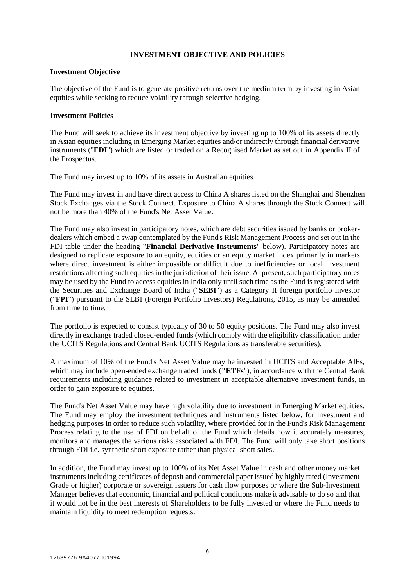### **INVESTMENT OBJECTIVE AND POLICIES**

#### <span id="page-8-0"></span>**Investment Objective**

The objective of the Fund is to generate positive returns over the medium term by investing in Asian equities while seeking to reduce volatility through selective hedging.

### **Investment Policies**

The Fund will seek to achieve its investment objective by investing up to 100% of its assets directly in Asian equities including in Emerging Market equities and/or indirectly through financial derivative instruments ("**FDI**") which are listed or traded on a Recognised Market as set out in Appendix II of the Prospectus.

The Fund may invest up to 10% of its assets in Australian equities.

The Fund may invest in and have direct access to China A shares listed on the Shanghai and Shenzhen Stock Exchanges via the Stock Connect. Exposure to China A shares through the Stock Connect will not be more than 40% of the Fund's Net Asset Value.

The Fund may also invest in participatory notes, which are debt securities issued by banks or brokerdealers which embed a swap contemplated by the Fund's Risk Management Process and set out in the FDI table under the heading "**Financial Derivative Instruments**" below). Participatory notes are designed to replicate exposure to an equity, equities or an equity market index primarily in markets where direct investment is either impossible or difficult due to inefficiencies or local investment restrictions affecting such equities in the jurisdiction of their issue. At present, such participatory notes may be used by the Fund to access equities in India only until such time as the Fund is registered with the Securities and Exchange Board of India ("**SEBI**") as a Category II foreign portfolio investor ("**FPI**") pursuant to the SEBI (Foreign Portfolio Investors) Regulations, 2015, as may be amended from time to time.

The portfolio is expected to consist typically of 30 to 50 equity positions. The Fund may also invest directly in exchange traded closed-ended funds (which comply with the eligibility classification under the UCITS Regulations and Central Bank UCITS Regulations as transferable securities).

A maximum of 10% of the Fund's Net Asset Value may be invested in UCITS and Acceptable AIFs, which may include open-ended exchange traded funds (**"ETFs**"), in accordance with the Central Bank requirements including guidance related to investment in acceptable alternative investment funds, in order to gain exposure to equities.

The Fund's Net Asset Value may have high volatility due to investment in Emerging Market equities. The Fund may employ the investment techniques and instruments listed below, for investment and hedging purposes in order to reduce such volatility, where provided for in the Fund's Risk Management Process relating to the use of FDI on behalf of the Fund which details how it accurately measures, monitors and manages the various risks associated with FDI. The Fund will only take short positions through FDI i.e. synthetic short exposure rather than physical short sales.

In addition, the Fund may invest up to 100% of its Net Asset Value in cash and other money market instruments including certificates of deposit and commercial paper issued by highly rated (Investment Grade or higher) corporate or sovereign issuers for cash flow purposes or where the Sub-Investment Manager believes that economic, financial and political conditions make it advisable to do so and that it would not be in the best interests of Shareholders to be fully invested or where the Fund needs to maintain liquidity to meet redemption requests.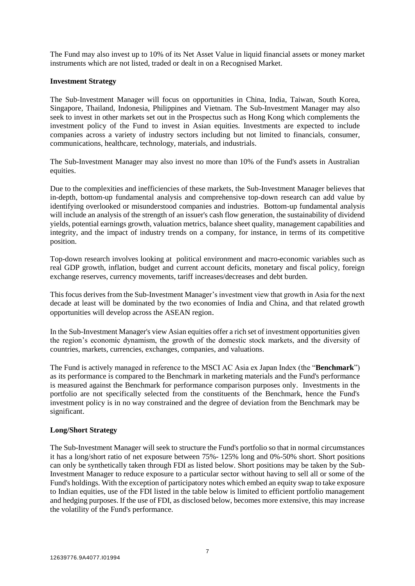The Fund may also invest up to 10% of its Net Asset Value in liquid financial assets or money market instruments which are not listed, traded or dealt in on a Recognised Market.

### **Investment Strategy**

The Sub-Investment Manager will focus on opportunities in China, India, Taiwan, South Korea, Singapore, Thailand, Indonesia, Philippines and Vietnam. The Sub-Investment Manager may also seek to invest in other markets set out in the Prospectus such as Hong Kong which complements the investment policy of the Fund to invest in Asian equities. Investments are expected to include companies across a variety of industry sectors including but not limited to financials, consumer, communications, healthcare, technology, materials, and industrials.

The Sub-Investment Manager may also invest no more than 10% of the Fund's assets in Australian equities.

Due to the complexities and inefficiencies of these markets, the Sub-Investment Manager believes that in-depth, bottom-up fundamental analysis and comprehensive top-down research can add value by identifying overlooked or misunderstood companies and industries. Bottom-up fundamental analysis will include an analysis of the strength of an issuer's cash flow generation, the sustainability of dividend yields, potential earnings growth, valuation metrics, balance sheet quality, management capabilities and integrity, and the impact of industry trends on a company, for instance, in terms of its competitive position.

Top-down research involves looking at political environment and macro-economic variables such as real GDP growth, inflation, budget and current account deficits, monetary and fiscal policy, foreign exchange reserves, currency movements, tariff increases/decreases and debt burden.

This focus derives from the Sub-Investment Manager's investment view that growth in Asia for the next decade at least will be dominated by the two economies of India and China, and that related growth opportunities will develop across the ASEAN region.

In the Sub-Investment Manager's view Asian equities offer a rich set of investment opportunities given the region's economic dynamism, the growth of the domestic stock markets, and the diversity of countries, markets, currencies, exchanges, companies, and valuations.

The Fund is actively managed in reference to the MSCI AC Asia ex Japan Index (the "**Benchmark**") as its performance is compared to the Benchmark in marketing materials and the Fund's performance is measured against the Benchmark for performance comparison purposes only. Investments in the portfolio are not specifically selected from the constituents of the Benchmark, hence the Fund's investment policy is in no way constrained and the degree of deviation from the Benchmark may be significant.

#### **Long/Short Strategy**

The Sub-Investment Manager will seek to structure the Fund's portfolio so that in normal circumstances it has a long/short ratio of net exposure between 75%- 125% long and 0%-50% short. Short positions can only be synthetically taken through FDI as listed below. Short positions may be taken by the Sub-Investment Manager to reduce exposure to a particular sector without having to sell all or some of the Fund's holdings. With the exception of participatory notes which embed an equity swap to take exposure to Indian equities, use of the FDI listed in the table below is limited to efficient portfolio management and hedging purposes. If the use of FDI, as disclosed below, becomes more extensive, this may increase the volatility of the Fund's performance.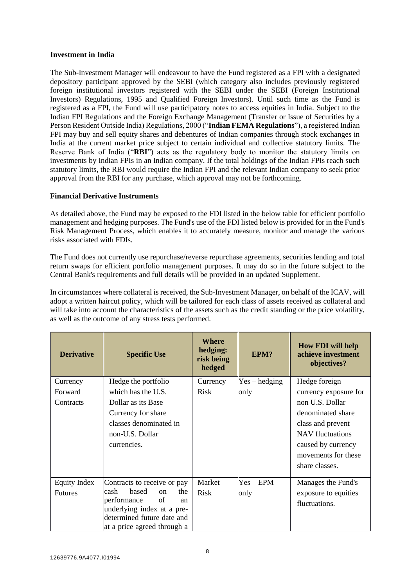## **Investment in India**

The Sub-Investment Manager will endeavour to have the Fund registered as a FPI with a designated depository participant approved by the SEBI (which category also includes previously registered foreign institutional investors registered with the SEBI under the SEBI (Foreign Institutional Investors) Regulations, 1995 and Qualified Foreign Investors). Until such time as the Fund is registered as a FPI, the Fund will use participatory notes to access equities in India. Subject to the Indian FPI Regulations and the Foreign Exchange Management (Transfer or Issue of Securities by a Person Resident Outside India) Regulations, 2000 ("**Indian FEMA Regulations**"), a registered Indian FPI may buy and sell equity shares and debentures of Indian companies through stock exchanges in India at the current market price subject to certain individual and collective statutory limits. The Reserve Bank of India ("**RBI**") acts as the regulatory body to monitor the statutory limits on investments by Indian FPIs in an Indian company. If the total holdings of the Indian FPIs reach such statutory limits, the RBI would require the Indian FPI and the relevant Indian company to seek prior approval from the RBI for any purchase, which approval may not be forthcoming.

## **Financial Derivative Instruments**

As detailed above, the Fund may be exposed to the FDI listed in the below table for efficient portfolio management and hedging purposes. The Fund's use of the FDI listed below is provided for in the Fund's Risk Management Process, which enables it to accurately measure, monitor and manage the various risks associated with FDIs.

The Fund does not currently use repurchase/reverse repurchase agreements, securities lending and total return swaps for efficient portfolio management purposes. It may do so in the future subject to the Central Bank's requirements and full details will be provided in an updated Supplement.

In circumstances where collateral is received, the Sub-Investment Manager, on behalf of the ICAV, will adopt a written haircut policy, which will be tailored for each class of assets received as collateral and will take into account the characteristics of the assets such as the credit standing or the price volatility, as well as the outcome of any stress tests performed.

| <b>Derivative</b> | <b>Specific Use</b>                                      | Where<br>hedging:<br>risk being<br>hedged | EPM?            | <b>How FDI will help</b><br>achieve investment<br>objectives? |
|-------------------|----------------------------------------------------------|-------------------------------------------|-----------------|---------------------------------------------------------------|
| Currency          | Hedge the portfolio                                      | Currency                                  | $Yes - hedging$ | Hedge foreign                                                 |
| Forward           | which has the U.S.                                       | <b>Risk</b>                               | only            | currency exposure for                                         |
| Contracts         | Dollar as its Base                                       |                                           |                 | non U.S. Dollar                                               |
|                   | Currency for share                                       |                                           |                 | denominated share                                             |
|                   | classes denominated in                                   |                                           |                 | class and prevent                                             |
|                   | non-U.S. Dollar                                          |                                           |                 | <b>NAV</b> fluctuations                                       |
|                   | currencies.                                              |                                           |                 | caused by currency                                            |
|                   |                                                          |                                           |                 | movements for these                                           |
|                   |                                                          |                                           |                 | share classes.                                                |
| Equity Index      | Contracts to receive or pay                              | Market                                    | $Yes - EPM$     | Manages the Fund's                                            |
| <b>Futures</b>    | based<br>cash<br>the<br>on                               | <b>Risk</b>                               | only            | exposure to equities                                          |
|                   | performance<br>of<br>an                                  |                                           |                 | fluctuations.                                                 |
|                   | underlying index at a pre-<br>determined future date and |                                           |                 |                                                               |
|                   | at a price agreed through a                              |                                           |                 |                                                               |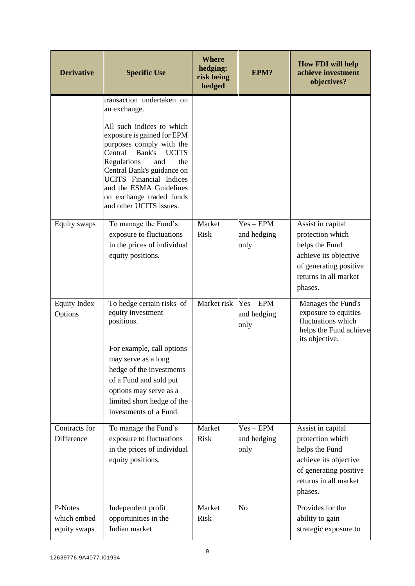| <b>Derivative</b>                      | <b>Specific Use</b>                                                                                                                                                                                                                                                                                                                               | <b>Where</b><br>hedging:<br>risk being<br>hedged | EPM?                               | <b>How FDI will help</b><br>achieve investment<br>objectives?                                                                                  |
|----------------------------------------|---------------------------------------------------------------------------------------------------------------------------------------------------------------------------------------------------------------------------------------------------------------------------------------------------------------------------------------------------|--------------------------------------------------|------------------------------------|------------------------------------------------------------------------------------------------------------------------------------------------|
|                                        | transaction undertaken on<br>an exchange.<br>All such indices to which<br>exposure is gained for EPM<br>purposes comply with the<br>Central Bank's<br><b>UCITS</b><br>Regulations<br>and<br>the<br>Central Bank's guidance on<br><b>UCITS</b> Financial Indices<br>and the ESMA Guidelines<br>on exchange traded funds<br>and other UCITS issues. |                                                  |                                    |                                                                                                                                                |
| Equity swaps                           | To manage the Fund's<br>exposure to fluctuations<br>in the prices of individual<br>equity positions.                                                                                                                                                                                                                                              | Market<br><b>Risk</b>                            | $Yes - EPM$<br>and hedging<br>only | Assist in capital<br>protection which<br>helps the Fund<br>achieve its objective<br>of generating positive<br>returns in all market<br>phases. |
| <b>Equity Index</b><br>Options         | To hedge certain risks of<br>equity investment<br>positions.<br>For example, call options<br>may serve as a long<br>hedge of the investments<br>of a Fund and sold put<br>options may serve as a<br>limited short hedge of the<br>investments of a Fund.                                                                                          | Market risk                                      | $Yes - EPM$<br>and hedging<br>only | Manages the Fund's<br>exposure to equities<br>fluctuations which<br>helps the Fund achieve<br>its objective.                                   |
| Contracts for<br>Difference            | To manage the Fund's<br>exposure to fluctuations<br>in the prices of individual<br>equity positions.                                                                                                                                                                                                                                              | Market<br><b>Risk</b>                            | $Yes - EPM$<br>and hedging<br>only | Assist in capital<br>protection which<br>helps the Fund<br>achieve its objective<br>of generating positive<br>returns in all market<br>phases. |
| P-Notes<br>which embed<br>equity swaps | Independent profit<br>opportunities in the<br>Indian market                                                                                                                                                                                                                                                                                       | Market<br><b>Risk</b>                            | No                                 | Provides for the<br>ability to gain<br>strategic exposure to                                                                                   |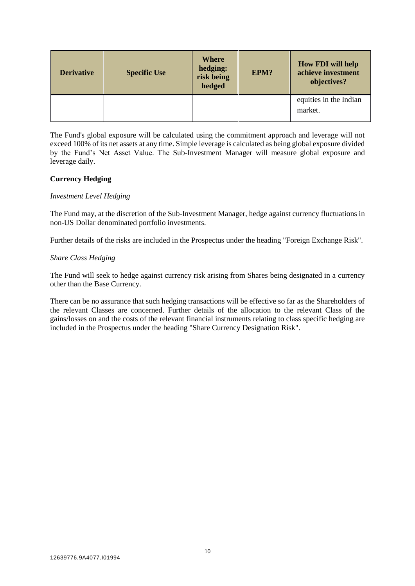| <b>Derivative</b> | <b>Specific Use</b> | Where<br>hedging:<br>risk being<br>hedged | EPM? | <b>How FDI will help</b><br>achieve investment<br>objectives? |
|-------------------|---------------------|-------------------------------------------|------|---------------------------------------------------------------|
|                   |                     |                                           |      | equities in the Indian<br>market.                             |

The Fund's global exposure will be calculated using the commitment approach and leverage will not exceed 100% of its net assets at any time. Simple leverage is calculated as being global exposure divided by the Fund's Net Asset Value. The Sub-Investment Manager will measure global exposure and leverage daily.

# **Currency Hedging**

## *Investment Level Hedging*

The Fund may, at the discretion of the Sub-Investment Manager, hedge against currency fluctuations in non-US Dollar denominated portfolio investments.

Further details of the risks are included in the Prospectus under the heading "Foreign Exchange Risk".

# *Share Class Hedging*

The Fund will seek to hedge against currency risk arising from Shares being designated in a currency other than the Base Currency.

There can be no assurance that such hedging transactions will be effective so far as the Shareholders of the relevant Classes are concerned. Further details of the allocation to the relevant Class of the gains/losses on and the costs of the relevant financial instruments relating to class specific hedging are included in the Prospectus under the heading "Share Currency Designation Risk".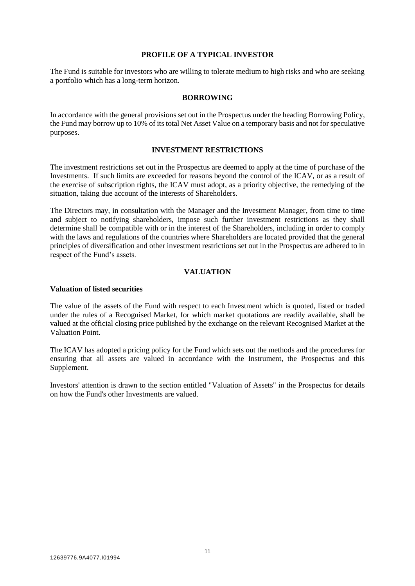### **PROFILE OF A TYPICAL INVESTOR**

<span id="page-13-0"></span>The Fund is suitable for investors who are willing to tolerate medium to high risks and who are seeking a portfolio which has a long-term horizon.

#### **BORROWING**

<span id="page-13-1"></span>In accordance with the general provisions set out in the Prospectus under the heading Borrowing Policy, the Fund may borrow up to 10% of its total Net Asset Value on a temporary basis and not for speculative purposes.

#### **INVESTMENT RESTRICTIONS**

<span id="page-13-2"></span>The investment restrictions set out in the Prospectus are deemed to apply at the time of purchase of the Investments. If such limits are exceeded for reasons beyond the control of the ICAV, or as a result of the exercise of subscription rights, the ICAV must adopt, as a priority objective, the remedying of the situation, taking due account of the interests of Shareholders.

The Directors may, in consultation with the Manager and the Investment Manager, from time to time and subject to notifying shareholders, impose such further investment restrictions as they shall determine shall be compatible with or in the interest of the Shareholders, including in order to comply with the laws and regulations of the countries where Shareholders are located provided that the general principles of diversification and other investment restrictions set out in the Prospectus are adhered to in respect of the Fund's assets.

#### **VALUATION**

#### <span id="page-13-3"></span>**Valuation of listed securities**

The value of the assets of the Fund with respect to each Investment which is quoted, listed or traded under the rules of a Recognised Market, for which market quotations are readily available, shall be valued at the official closing price published by the exchange on the relevant Recognised Market at the Valuation Point.

The ICAV has adopted a pricing policy for the Fund which sets out the methods and the procedures for ensuring that all assets are valued in accordance with the Instrument, the Prospectus and this Supplement.

Investors' attention is drawn to the section entitled "Valuation of Assets" in the Prospectus for details on how the Fund's other Investments are valued.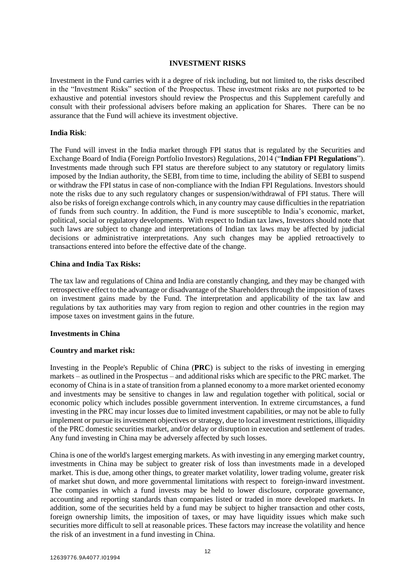### **INVESTMENT RISKS**

<span id="page-14-0"></span>Investment in the Fund carries with it a degree of risk including, but not limited to, the risks described in the "Investment Risks" section of the Prospectus. These investment risks are not purported to be exhaustive and potential investors should review the Prospectus and this Supplement carefully and consult with their professional advisers before making an application for Shares. There can be no assurance that the Fund will achieve its investment objective.

#### **India Risk**:

The Fund will invest in the India market through FPI status that is regulated by the Securities and Exchange Board of India (Foreign Portfolio Investors) Regulations, 2014 ("**Indian FPI Regulations**"). Investments made through such FPI status are therefore subject to any statutory or regulatory limits imposed by the Indian authority, the SEBI, from time to time, including the ability of SEBI to suspend or withdraw the FPI status in case of non-compliance with the Indian FPI Regulations. Investors should note the risks due to any such regulatory changes or suspension/withdrawal of FPI status. There will also be risks of foreign exchange controls which, in any country may cause difficulties in the repatriation of funds from such country. In addition, the Fund is more susceptible to India's economic, market, political, social or regulatory developments. With respect to Indian tax laws, Investors should note that such laws are subject to change and interpretations of Indian tax laws may be affected by judicial decisions or administrative interpretations. Any such changes may be applied retroactively to transactions entered into before the effective date of the change.

#### **China and India Tax Risks:**

The tax law and regulations of China and India are constantly changing, and they may be changed with retrospective effect to the advantage or disadvantage of the Shareholders through the imposition of taxes on investment gains made by the Fund. The interpretation and applicability of the tax law and regulations by tax authorities may vary from region to region and other countries in the region may impose taxes on investment gains in the future.

## **Investments in China**

## **Country and market risk:**

Investing in the People's Republic of China (**PRC**) is subject to the risks of investing in emerging markets – as outlined in the Prospectus – and additional risks which are specific to the PRC market. The economy of China is in a state of transition from a planned economy to a more market oriented economy and investments may be sensitive to changes in law and regulation together with political, social or economic policy which includes possible government intervention. In extreme circumstances, a fund investing in the PRC may incur losses due to limited investment capabilities, or may not be able to fully implement or pursue its investment objectives or strategy, due to local investment restrictions, illiquidity of the PRC domestic securities market, and/or delay or disruption in execution and settlement of trades. Any fund investing in China may be adversely affected by such losses.

China is one of the world's largest emerging markets. As with investing in any emerging market country, investments in China may be subject to greater risk of loss than investments made in a developed market. This is due, among other things, to greater market volatility, lower trading volume, greater risk of market shut down, and more governmental limitations with respect to foreign-inward investment. The companies in which a fund invests may be held to lower disclosure, corporate governance, accounting and reporting standards than companies listed or traded in more developed markets. In addition, some of the securities held by a fund may be subject to higher transaction and other costs, foreign ownership limits, the imposition of taxes, or may have liquidity issues which make such securities more difficult to sell at reasonable prices. These factors may increase the volatility and hence the risk of an investment in a fund investing in China.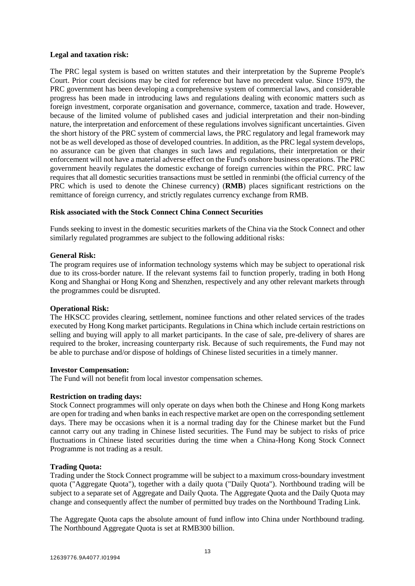### **Legal and taxation risk:**

The PRC legal system is based on written statutes and their interpretation by the Supreme People's Court. Prior court decisions may be cited for reference but have no precedent value. Since 1979, the PRC government has been developing a comprehensive system of commercial laws, and considerable progress has been made in introducing laws and regulations dealing with economic matters such as foreign investment, corporate organisation and governance, commerce, taxation and trade. However, because of the limited volume of published cases and judicial interpretation and their non-binding nature, the interpretation and enforcement of these regulations involves significant uncertainties. Given the short history of the PRC system of commercial laws, the PRC regulatory and legal framework may not be as well developed as those of developed countries. In addition, as the PRC legal system develops, no assurance can be given that changes in such laws and regulations, their interpretation or their enforcement will not have a material adverse effect on the Fund's onshore business operations. The PRC government heavily regulates the domestic exchange of foreign currencies within the PRC. PRC law requires that all domestic securities transactions must be settled in renminbi (the official currency of the PRC which is used to denote the Chinese currency) (**RMB**) places significant restrictions on the remittance of foreign currency, and strictly regulates currency exchange from RMB.

## **Risk associated with the Stock Connect China Connect Securities**

Funds seeking to invest in the domestic securities markets of the China via the Stock Connect and other similarly regulated programmes are subject to the following additional risks:

## **General Risk:**

The program requires use of information technology systems which may be subject to operational risk due to its cross-border nature. If the relevant systems fail to function properly, trading in both Hong Kong and Shanghai or Hong Kong and Shenzhen, respectively and any other relevant markets through the programmes could be disrupted.

## **Operational Risk:**

The HKSCC provides clearing, settlement, nominee functions and other related services of the trades executed by Hong Kong market participants. Regulations in China which include certain restrictions on selling and buying will apply to all market participants. In the case of sale, pre-delivery of shares are required to the broker, increasing counterparty risk. Because of such requirements, the Fund may not be able to purchase and/or dispose of holdings of Chinese listed securities in a timely manner.

## **Investor Compensation:**

The Fund will not benefit from local investor compensation schemes.

## **Restriction on trading days:**

Stock Connect programmes will only operate on days when both the Chinese and Hong Kong markets are open for trading and when banks in each respective market are open on the corresponding settlement days. There may be occasions when it is a normal trading day for the Chinese market but the Fund cannot carry out any trading in Chinese listed securities. The Fund may be subject to risks of price fluctuations in Chinese listed securities during the time when a China-Hong Kong Stock Connect Programme is not trading as a result.

#### **Trading Quota:**

Trading under the Stock Connect programme will be subject to a maximum cross-boundary investment quota ("Aggregate Quota"), together with a daily quota ("Daily Quota"). Northbound trading will be subject to a separate set of Aggregate and Daily Quota. The Aggregate Quota and the Daily Quota may change and consequently affect the number of permitted buy trades on the Northbound Trading Link.

The Aggregate Quota caps the absolute amount of fund inflow into China under Northbound trading. The Northbound Aggregate Quota is set at RMB300 billion.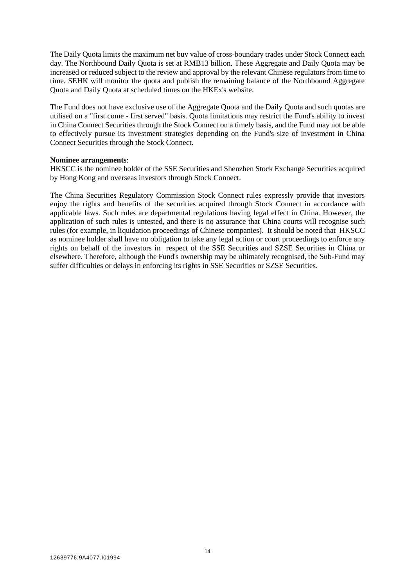The Daily Quota limits the maximum net buy value of cross-boundary trades under Stock Connect each day. The Northbound Daily Quota is set at RMB13 billion. These Aggregate and Daily Quota may be increased or reduced subject to the review and approval by the relevant Chinese regulators from time to time. SEHK will monitor the quota and publish the remaining balance of the Northbound Aggregate Quota and Daily Quota at scheduled times on the HKEx's website.

The Fund does not have exclusive use of the Aggregate Quota and the Daily Quota and such quotas are utilised on a "first come - first served" basis. Quota limitations may restrict the Fund's ability to invest in China Connect Securities through the Stock Connect on a timely basis, and the Fund may not be able to effectively pursue its investment strategies depending on the Fund's size of investment in China Connect Securities through the Stock Connect.

#### **Nominee arrangements**:

HKSCC is the nominee holder of the SSE Securities and Shenzhen Stock Exchange Securities acquired by Hong Kong and overseas investors through Stock Connect.

The China Securities Regulatory Commission Stock Connect rules expressly provide that investors enjoy the rights and benefits of the securities acquired through Stock Connect in accordance with applicable laws. Such rules are departmental regulations having legal effect in China. However, the application of such rules is untested, and there is no assurance that China courts will recognise such rules (for example, in liquidation proceedings of Chinese companies). It should be noted that HKSCC as nominee holder shall have no obligation to take any legal action or court proceedings to enforce any rights on behalf of the investors in respect of the SSE Securities and SZSE Securities in China or elsewhere. Therefore, although the Fund's ownership may be ultimately recognised, the Sub-Fund may suffer difficulties or delays in enforcing its rights in SSE Securities or SZSE Securities.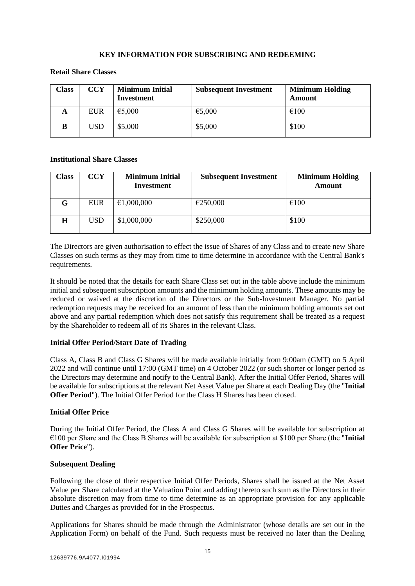# **KEY INFORMATION FOR SUBSCRIBING AND REDEEMING**

# <span id="page-17-0"></span>**Retail Share Classes**

| Class | <b>CCY</b> | <b>Minimum Initial</b><br>Investment | <b>Subsequent Investment</b> | <b>Minimum Holding</b><br>Amount |
|-------|------------|--------------------------------------|------------------------------|----------------------------------|
| A     | <b>EUR</b> | €5,000                               | €5,000                       | $\epsilon$ 100                   |
|       | USD        | \$5,000                              | \$5,000                      | \$100                            |

## **Institutional Share Classes**

| <b>Class</b> | <b>CCY</b> | <b>Minimum Initial</b><br>Investment | <b>Subsequent Investment</b> | <b>Minimum Holding</b><br><b>Amount</b> |
|--------------|------------|--------------------------------------|------------------------------|-----------------------------------------|
| G.           | <b>EUR</b> | €1,000,000                           | €250,000                     | €100                                    |
| Н            | USD        | \$1,000,000                          | \$250,000                    | \$100                                   |

The Directors are given authorisation to effect the issue of Shares of any Class and to create new Share Classes on such terms as they may from time to time determine in accordance with the Central Bank's requirements.

It should be noted that the details for each Share Class set out in the table above include the minimum initial and subsequent subscription amounts and the minimum holding amounts. These amounts may be reduced or waived at the discretion of the Directors or the Sub-Investment Manager. No partial redemption requests may be received for an amount of less than the minimum holding amounts set out above and any partial redemption which does not satisfy this requirement shall be treated as a request by the Shareholder to redeem all of its Shares in the relevant Class.

## **Initial Offer Period/Start Date of Trading**

Class A, Class B and Class G Shares will be made available initially from 9:00am (GMT) on 5 April 2022 and will continue until 17:00 (GMT time) on 4 October 2022 (or such shorter or longer period as the Directors may determine and notify to the Central Bank). After the Initial Offer Period, Shares will be available for subscriptions at the relevant Net Asset Value per Share at each Dealing Day (the "**Initial Offer Period**"). The Initial Offer Period for the Class H Shares has been closed.

## **Initial Offer Price**

During the Initial Offer Period, the Class A and Class G Shares will be available for subscription at €100 per Share and the Class B Shares will be available for subscription at \$100 per Share (the "**Initial Offer Price**").

## **Subsequent Dealing**

Following the close of their respective Initial Offer Periods, Shares shall be issued at the Net Asset Value per Share calculated at the Valuation Point and adding thereto such sum as the Directors in their absolute discretion may from time to time determine as an appropriate provision for any applicable Duties and Charges as provided for in the Prospectus.

Applications for Shares should be made through the Administrator (whose details are set out in the Application Form) on behalf of the Fund. Such requests must be received no later than the Dealing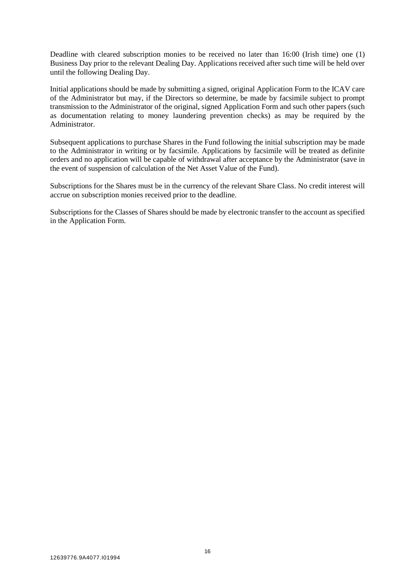Deadline with cleared subscription monies to be received no later than 16:00 (Irish time) one (1) Business Day prior to the relevant Dealing Day. Applications received after such time will be held over until the following Dealing Day.

Initial applications should be made by submitting a signed, original Application Form to the ICAV care of the Administrator but may, if the Directors so determine, be made by facsimile subject to prompt transmission to the Administrator of the original, signed Application Form and such other papers (such as documentation relating to money laundering prevention checks) as may be required by the Administrator.

Subsequent applications to purchase Shares in the Fund following the initial subscription may be made to the Administrator in writing or by facsimile. Applications by facsimile will be treated as definite orders and no application will be capable of withdrawal after acceptance by the Administrator (save in the event of suspension of calculation of the Net Asset Value of the Fund).

Subscriptions for the Shares must be in the currency of the relevant Share Class. No credit interest will accrue on subscription monies received prior to the deadline*.*

Subscriptions for the Classes of Shares should be made by electronic transfer to the account as specified in the Application Form.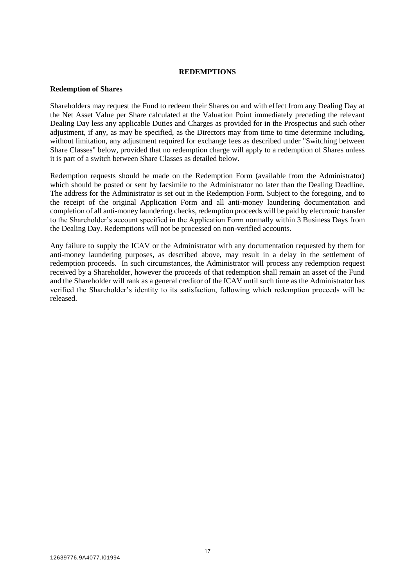#### **REDEMPTIONS**

#### <span id="page-19-0"></span>**Redemption of Shares**

Shareholders may request the Fund to redeem their Shares on and with effect from any Dealing Day at the Net Asset Value per Share calculated at the Valuation Point immediately preceding the relevant Dealing Day less any applicable Duties and Charges as provided for in the Prospectus and such other adjustment, if any, as may be specified, as the Directors may from time to time determine including, without limitation, any adjustment required for exchange fees as described under "Switching between Share Classes" below, provided that no redemption charge will apply to a redemption of Shares unless it is part of a switch between Share Classes as detailed below.

Redemption requests should be made on the Redemption Form (available from the Administrator) which should be posted or sent by facsimile to the Administrator no later than the Dealing Deadline. The address for the Administrator is set out in the Redemption Form. Subject to the foregoing, and to the receipt of the original Application Form and all anti-money laundering documentation and completion of all anti-money laundering checks, redemption proceeds will be paid by electronic transfer to the Shareholder's account specified in the Application Form normally within 3 Business Days from the Dealing Day. Redemptions will not be processed on non-verified accounts.

Any failure to supply the ICAV or the Administrator with any documentation requested by them for anti-money laundering purposes, as described above, may result in a delay in the settlement of redemption proceeds. In such circumstances, the Administrator will process any redemption request received by a Shareholder, however the proceeds of that redemption shall remain an asset of the Fund and the Shareholder will rank as a general creditor of the ICAV until such time as the Administrator has verified the Shareholder's identity to its satisfaction, following which redemption proceeds will be released.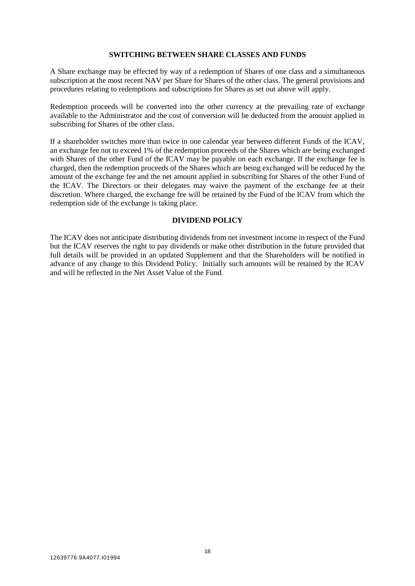### **SWITCHING BETWEEN SHARE CLASSES AND FUNDS**

<span id="page-20-0"></span>A Share exchange may be effected by way of a redemption of Shares of one class and a simultaneous subscription at the most recent NAV per Share for Shares of the other class. The general provisions and procedures relating to redemptions and subscriptions for Shares as set out above will apply.

Redemption proceeds will be converted into the other currency at the prevailing rate of exchange available to the Administrator and the cost of conversion will be deducted from the amount applied in subscribing for Shares of the other class.

If a shareholder switches more than twice in one calendar year between different Funds of the ICAV, an exchange fee not to exceed 1% of the redemption proceeds of the Shares which are being exchanged with Shares of the other Fund of the ICAV may be payable on each exchange. If the exchange fee is charged, then the redemption proceeds of the Shares which are being exchanged will be reduced by the amount of the exchange fee and the net amount applied in subscribing for Shares of the other Fund of the ICAV. The Directors or their delegates may waive the payment of the exchange fee at their discretion. Where charged, the exchange fee will be retained by the Fund of the ICAV from which the redemption side of the exchange is taking place.

## **DIVIDEND POLICY**

<span id="page-20-1"></span>The ICAV does not anticipate distributing dividends from net investment income in respect of the Fund but the ICAV reserves the right to pay dividends or make other distribution in the future provided that full details will be provided in an updated Supplement and that the Shareholders will be notified in advance of any change to this Dividend Policy. Initially such amounts will be retained by the ICAV and will be reflected in the Net Asset Value of the Fund.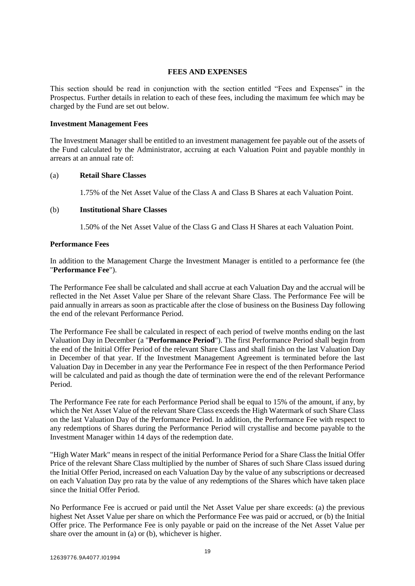### **FEES AND EXPENSES**

<span id="page-21-0"></span>This section should be read in conjunction with the section entitled "Fees and Expenses" in the Prospectus. Further details in relation to each of these fees, including the maximum fee which may be charged by the Fund are set out below.

#### **Investment Management Fees**

The Investment Manager shall be entitled to an investment management fee payable out of the assets of the Fund calculated by the Administrator, accruing at each Valuation Point and payable monthly in arrears at an annual rate of:

#### (a) **Retail Share Classes**

1.75% of the Net Asset Value of the Class A and Class B Shares at each Valuation Point.

#### (b) **Institutional Share Classes**

1.50% of the Net Asset Value of the Class G and Class H Shares at each Valuation Point.

#### **Performance Fees**

In addition to the Management Charge the Investment Manager is entitled to a performance fee (the "**Performance Fee**").

The Performance Fee shall be calculated and shall accrue at each Valuation Day and the accrual will be reflected in the Net Asset Value per Share of the relevant Share Class. The Performance Fee will be paid annually in arrears as soon as practicable after the close of business on the Business Day following the end of the relevant Performance Period.

The Performance Fee shall be calculated in respect of each period of twelve months ending on the last Valuation Day in December (a "**Performance Period**"). The first Performance Period shall begin from the end of the Initial Offer Period of the relevant Share Class and shall finish on the last Valuation Day in December of that year. If the Investment Management Agreement is terminated before the last Valuation Day in December in any year the Performance Fee in respect of the then Performance Period will be calculated and paid as though the date of termination were the end of the relevant Performance Period.

The Performance Fee rate for each Performance Period shall be equal to 15% of the amount, if any, by which the Net Asset Value of the relevant Share Class exceeds the High Watermark of such Share Class on the last Valuation Day of the Performance Period. In addition, the Performance Fee with respect to any redemptions of Shares during the Performance Period will crystallise and become payable to the Investment Manager within 14 days of the redemption date.

"High Water Mark" means in respect of the initial Performance Period for a Share Class the Initial Offer Price of the relevant Share Class multiplied by the number of Shares of such Share Class issued during the Initial Offer Period, increased on each Valuation Day by the value of any subscriptions or decreased on each Valuation Day pro rata by the value of any redemptions of the Shares which have taken place since the Initial Offer Period.

No Performance Fee is accrued or paid until the Net Asset Value per share exceeds: (a) the previous highest Net Asset Value per share on which the Performance Fee was paid or accrued, or (b) the Initial Offer price. The Performance Fee is only payable or paid on the increase of the Net Asset Value per share over the amount in (a) or (b), whichever is higher.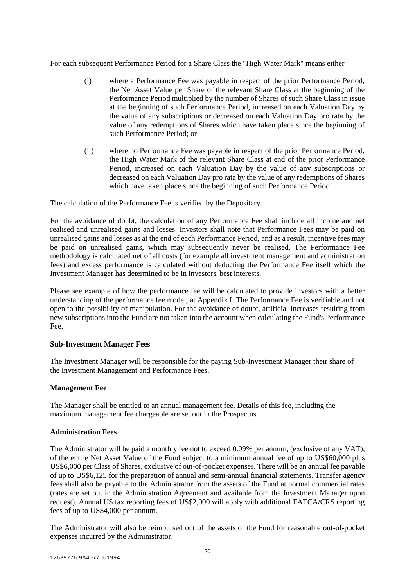For each subsequent Performance Period for a Share Class the "High Water Mark" means either

- (i) where a Performance Fee was payable in respect of the prior Performance Period, the Net Asset Value per Share of the relevant Share Class at the beginning of the Performance Period multiplied by the number of Shares of such Share Class in issue at the beginning of such Performance Period, increased on each Valuation Day by the value of any subscriptions or decreased on each Valuation Day pro rata by the value of any redemptions of Shares which have taken place since the beginning of such Performance Period; or
- (ii) where no Performance Fee was payable in respect of the prior Performance Period, the High Water Mark of the relevant Share Class at end of the prior Performance Period, increased on each Valuation Day by the value of any subscriptions or decreased on each Valuation Day pro rata by the value of any redemptions of Shares which have taken place since the beginning of such Performance Period.

The calculation of the Performance Fee is verified by the Depositary.

For the avoidance of doubt, the calculation of any Performance Fee shall include all income and net realised and unrealised gains and losses. Investors shall note that Performance Fees may be paid on unrealised gains and losses as at the end of each Performance Period, and as a result, incentive fees may be paid on unrealised gains, which may subsequently never be realised. The Performance Fee methodology is calculated net of all costs (for example all investment management and administration fees) and excess performance is calculated without deducting the Performance Fee itself which the Investment Manager has determined to be in investors' best interests.

Please see example of how the performance fee will be calculated to provide investors with a better understanding of the performance fee model, at Appendix I. The Performance Fee is verifiable and not open to the possibility of manipulation. For the avoidance of doubt, artificial increases resulting from new subscriptions into the Fund are not taken into the account when calculating the Fund's Performance Fee.

## **Sub-Investment Manager Fees**

The Investment Manager will be responsible for the paying Sub-Investment Manager their share of the Investment Management and Performance Fees.

# **Management Fee**

The Manager shall be entitled to an annual management fee. Details of this fee, including the maximum management fee chargeable are set out in the Prospectus.

## **Administration Fees**

The Administrator will be paid a monthly fee not to exceed 0.09% per annum, (exclusive of any VAT), of the entire Net Asset Value of the Fund subject to a minimum annual fee of up to US\$60,000 plus US\$6,000 per Class of Shares, exclusive of out-of-pocket expenses. There will be an annual fee payable of up to US\$6,125 for the preparation of annual and semi-annual financial statements. Transfer agency fees shall also be payable to the Administrator from the assets of the Fund at normal commercial rates (rates are set out in the Administration Agreement and available from the Investment Manager upon request). Annual US tax reporting fees of US\$2,000 will apply with additional FATCA/CRS reporting fees of up to US\$4,000 per annum.

The Administrator will also be reimbursed out of the assets of the Fund for reasonable out-of-pocket expenses incurred by the Administrator.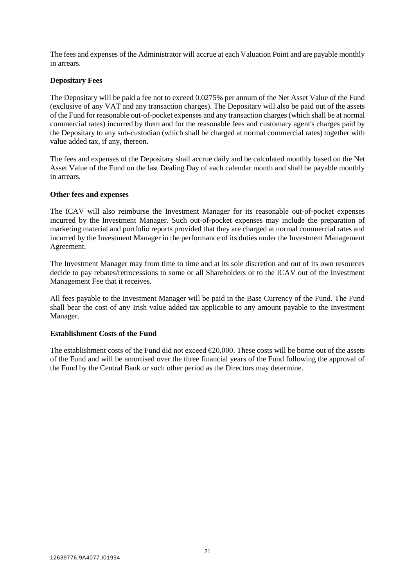The fees and expenses of the Administrator will accrue at each Valuation Point and are payable monthly in arrears.

# **Depositary Fees**

The Depositary will be paid a fee not to exceed 0.0275% per annum of the Net Asset Value of the Fund (exclusive of any VAT and any transaction charges). The Depositary will also be paid out of the assets of the Fund for reasonable out-of-pocket expenses and any transaction charges (which shall be at normal commercial rates) incurred by them and for the reasonable fees and customary agent's charges paid by the Depositary to any sub-custodian (which shall be charged at normal commercial rates) together with value added tax, if any, thereon.

The fees and expenses of the Depositary shall accrue daily and be calculated monthly based on the Net Asset Value of the Fund on the last Dealing Day of each calendar month and shall be payable monthly in arrears.

## **Other fees and expenses**

The ICAV will also reimburse the Investment Manager for its reasonable out-of-pocket expenses incurred by the Investment Manager. Such out-of-pocket expenses may include the preparation of marketing material and portfolio reports provided that they are charged at normal commercial rates and incurred by the Investment Manager in the performance of its duties under the Investment Management Agreement.

The Investment Manager may from time to time and at its sole discretion and out of its own resources decide to pay rebates/retrocessions to some or all Shareholders or to the ICAV out of the Investment Management Fee that it receives.

All fees payable to the Investment Manager will be paid in the Base Currency of the Fund. The Fund shall bear the cost of any Irish value added tax applicable to any amount payable to the Investment Manager.

## **Establishment Costs of the Fund**

The establishment costs of the Fund did not exceed  $\epsilon$ 20,000. These costs will be borne out of the assets of the Fund and will be amortised over the three financial years of the Fund following the approval of the Fund by the Central Bank or such other period as the Directors may determine.